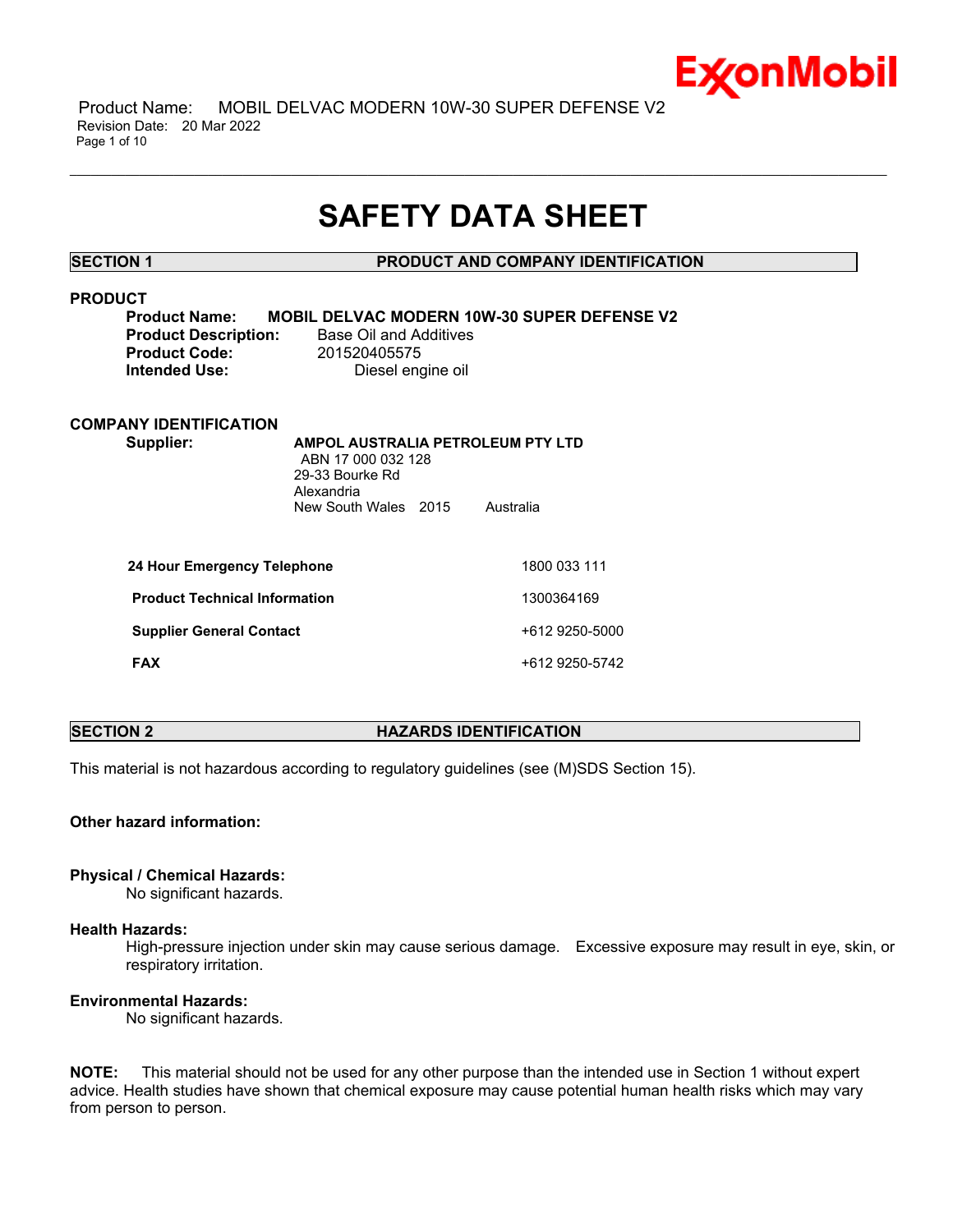

 Product Name: MOBIL DELVAC MODERN 10W-30 SUPER DEFENSE V2 Revision Date: 20 Mar 2022 Page 1 of 10

# **SAFETY DATA SHEET**

\_\_\_\_\_\_\_\_\_\_\_\_\_\_\_\_\_\_\_\_\_\_\_\_\_\_\_\_\_\_\_\_\_\_\_\_\_\_\_\_\_\_\_\_\_\_\_\_\_\_\_\_\_\_\_\_\_\_\_\_\_\_\_\_\_\_\_\_\_\_\_\_\_\_\_\_\_\_\_\_\_\_\_\_\_\_\_\_\_\_\_\_\_\_\_\_\_\_\_\_\_\_\_\_\_\_\_\_\_\_\_\_\_\_\_\_\_\_

**SECTION 1 PRODUCT AND COMPANY IDENTIFICATION**

# **PRODUCT**

**Product Name: MOBIL DELVAC MODERN 10W-30 SUPER DEFENSE V2 Product Code:** 201520405575

**Product Description:** Base Oil and Additives **Intended Use:** Diesel engine oil

# **COMPANY IDENTIFICATION**

**Supplier: AMPOL AUSTRALIA PETROLEUM PTY LTD** ABN 17 000 032 128 29-33 Bourke Rd Alexandria New South Wales 2015 Australia

| 24 Hour Emergency Telephone          | 1800 033 111   |
|--------------------------------------|----------------|
| <b>Product Technical Information</b> | 1300364169     |
| <b>Supplier General Contact</b>      | +612 9250-5000 |
| <b>FAX</b>                           | +612 9250-5742 |

# **SECTION 2 HAZARDS IDENTIFICATION**

This material is not hazardous according to regulatory guidelines (see (M)SDS Section 15).

# **Other hazard information:**

# **Physical / Chemical Hazards:**

No significant hazards.

# **Health Hazards:**

High-pressure injection under skin may cause serious damage. Excessive exposure may result in eye, skin, or respiratory irritation.

# **Environmental Hazards:**

No significant hazards.

**NOTE:** This material should not be used for any other purpose than the intended use in Section 1 without expert advice. Health studies have shown that chemical exposure may cause potential human health risks which may vary from person to person.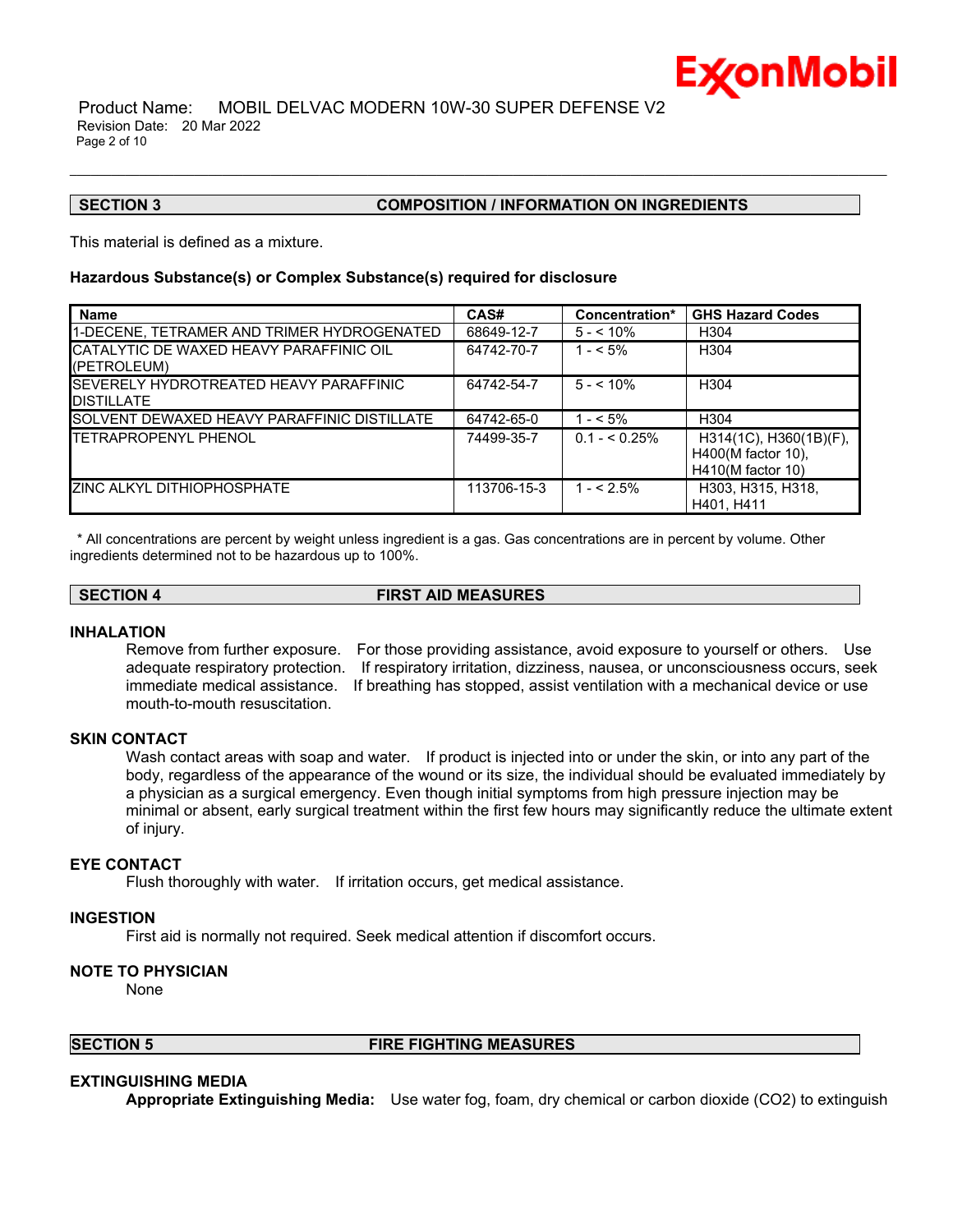

### **SECTION 3 COMPOSITION / INFORMATION ON INGREDIENTS**

This material is defined as a mixture.

# **Hazardous Substance(s) or Complex Substance(s) required for disclosure**

| <b>Name</b>                                                         | CAS#        | Concentration* | <b>GHS Hazard Codes</b>                                           |
|---------------------------------------------------------------------|-------------|----------------|-------------------------------------------------------------------|
| 1-DECENE, TETRAMER AND TRIMER HYDROGENATED                          | 68649-12-7  | $5 - 10\%$     | H304                                                              |
| <b>CATALYTIC DE WAXED HEAVY PARAFFINIC OIL</b><br>(PETROLEUM)       | 64742-70-7  | $1 - 5\%$      | H <sub>304</sub>                                                  |
| <b>ISEVERELY HYDROTREATED HEAVY PARAFFINIC</b><br><b>DISTILLATE</b> | 64742-54-7  | $5 - 10\%$     | H <sub>304</sub>                                                  |
| <b>ISOLVENT DEWAXED HEAVY PARAFFINIC DISTILLATE</b>                 | 64742-65-0  | $1 - 5\%$      | H304                                                              |
| <b>TETRAPROPENYL PHENOL</b>                                         | 74499-35-7  | $0.1 - 5.25\%$ | H314(1C), H360(1B)(F),<br>H400(M factor 10),<br>H410(M factor 10) |
| <b>ZINC ALKYL DITHIOPHOSPHATE</b>                                   | 113706-15-3 | $1 - 5\%$      | H303, H315, H318,<br>H401. H411                                   |

\_\_\_\_\_\_\_\_\_\_\_\_\_\_\_\_\_\_\_\_\_\_\_\_\_\_\_\_\_\_\_\_\_\_\_\_\_\_\_\_\_\_\_\_\_\_\_\_\_\_\_\_\_\_\_\_\_\_\_\_\_\_\_\_\_\_\_\_\_\_\_\_\_\_\_\_\_\_\_\_\_\_\_\_\_\_\_\_\_\_\_\_\_\_\_\_\_\_\_\_\_\_\_\_\_\_\_\_\_\_\_\_\_\_\_\_\_\_

\* All concentrations are percent by weight unless ingredient is a gas. Gas concentrations are in percent by volume. Other ingredients determined not to be hazardous up to 100%.

**SECTION 4 FIRST AID MEASURES**

#### **INHALATION**

Remove from further exposure. For those providing assistance, avoid exposure to yourself or others. Use adequate respiratory protection. If respiratory irritation, dizziness, nausea, or unconsciousness occurs, seek immediate medical assistance. If breathing has stopped, assist ventilation with a mechanical device or use mouth-to-mouth resuscitation.

# **SKIN CONTACT**

Wash contact areas with soap and water. If product is injected into or under the skin, or into any part of the body, regardless of the appearance of the wound or its size, the individual should be evaluated immediately by a physician as a surgical emergency. Even though initial symptoms from high pressure injection may be minimal or absent, early surgical treatment within the first few hours may significantly reduce the ultimate extent of injury.

# **EYE CONTACT**

Flush thoroughly with water. If irritation occurs, get medical assistance.

### **INGESTION**

First aid is normally not required. Seek medical attention if discomfort occurs.

# **NOTE TO PHYSICIAN**

None

# **SECTION 5 FIRE FIGHTING MEASURES**

# **EXTINGUISHING MEDIA**

**Appropriate Extinguishing Media:** Use water fog, foam, dry chemical or carbon dioxide (CO2) to extinguish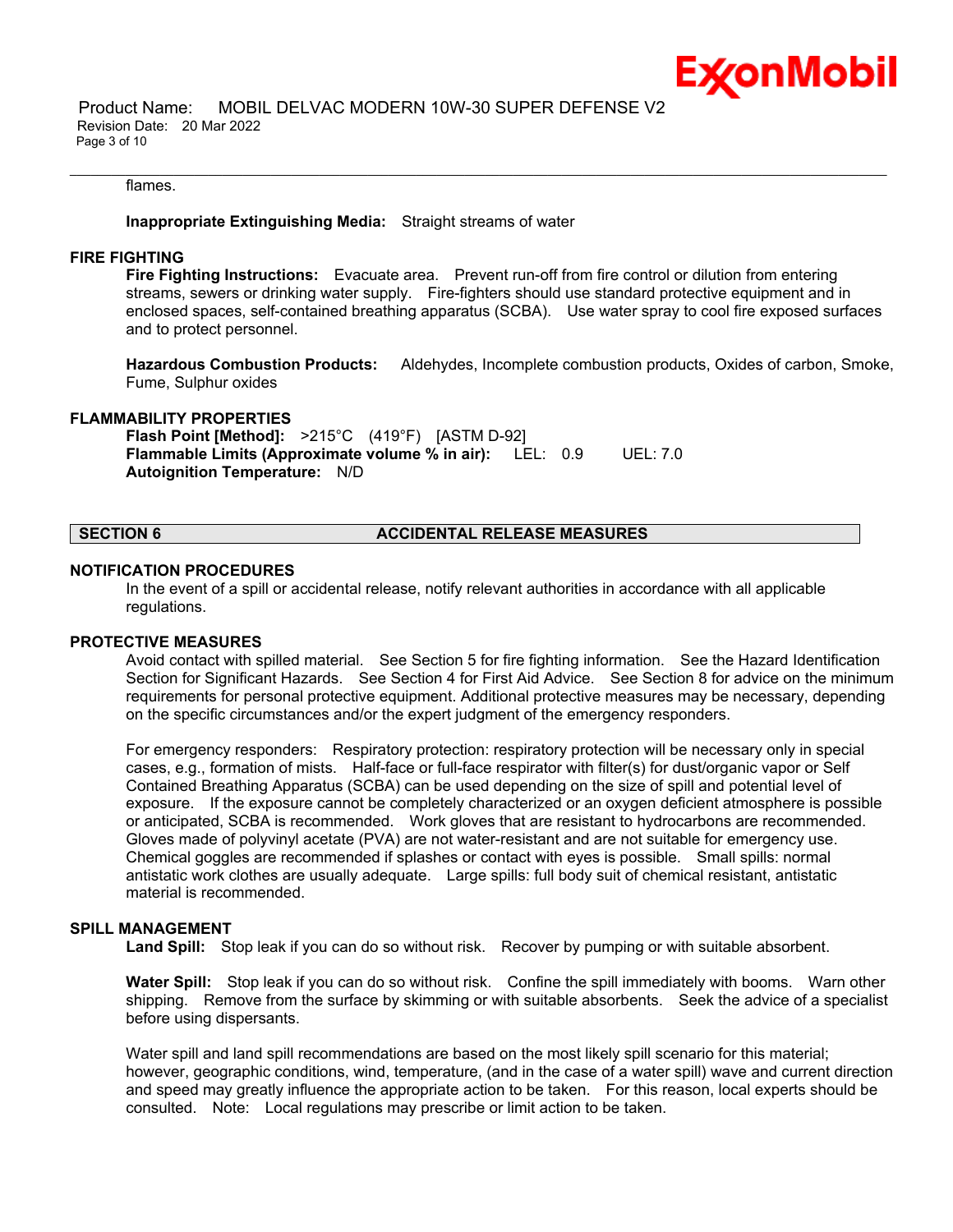

#### flames.

### **Inappropriate Extinguishing Media:** Straight streams of water

#### **FIRE FIGHTING**

**Fire Fighting Instructions:** Evacuate area. Prevent run-off from fire control or dilution from entering streams, sewers or drinking water supply. Fire-fighters should use standard protective equipment and in enclosed spaces, self-contained breathing apparatus (SCBA). Use water spray to cool fire exposed surfaces and to protect personnel.

\_\_\_\_\_\_\_\_\_\_\_\_\_\_\_\_\_\_\_\_\_\_\_\_\_\_\_\_\_\_\_\_\_\_\_\_\_\_\_\_\_\_\_\_\_\_\_\_\_\_\_\_\_\_\_\_\_\_\_\_\_\_\_\_\_\_\_\_\_\_\_\_\_\_\_\_\_\_\_\_\_\_\_\_\_\_\_\_\_\_\_\_\_\_\_\_\_\_\_\_\_\_\_\_\_\_\_\_\_\_\_\_\_\_\_\_\_\_

**Hazardous Combustion Products:** Aldehydes, Incomplete combustion products, Oxides of carbon, Smoke, Fume, Sulphur oxides

#### **FLAMMABILITY PROPERTIES**

**Flash Point [Method]:** >215°C (419°F) [ASTM D-92] **Flammable Limits (Approximate volume % in air):** LEL: 0.9 UEL: 7.0 **Autoignition Temperature:** N/D

# **SECTION 6 ACCIDENTAL RELEASE MEASURES**

#### **NOTIFICATION PROCEDURES**

In the event of a spill or accidental release, notify relevant authorities in accordance with all applicable regulations.

# **PROTECTIVE MEASURES**

Avoid contact with spilled material. See Section 5 for fire fighting information. See the Hazard Identification Section for Significant Hazards. See Section 4 for First Aid Advice. See Section 8 for advice on the minimum requirements for personal protective equipment. Additional protective measures may be necessary, depending on the specific circumstances and/or the expert judgment of the emergency responders.

For emergency responders: Respiratory protection: respiratory protection will be necessary only in special cases, e.g., formation of mists. Half-face or full-face respirator with filter(s) for dust/organic vapor or Self Contained Breathing Apparatus (SCBA) can be used depending on the size of spill and potential level of exposure. If the exposure cannot be completely characterized or an oxygen deficient atmosphere is possible or anticipated, SCBA is recommended. Work gloves that are resistant to hydrocarbons are recommended. Gloves made of polyvinyl acetate (PVA) are not water-resistant and are not suitable for emergency use. Chemical goggles are recommended if splashes or contact with eyes is possible. Small spills: normal antistatic work clothes are usually adequate. Large spills: full body suit of chemical resistant, antistatic material is recommended.

# **SPILL MANAGEMENT**

**Land Spill:** Stop leak if you can do so without risk. Recover by pumping or with suitable absorbent.

**Water Spill:** Stop leak if you can do so without risk. Confine the spill immediately with booms. Warn other shipping. Remove from the surface by skimming or with suitable absorbents. Seek the advice of a specialist before using dispersants.

Water spill and land spill recommendations are based on the most likely spill scenario for this material; however, geographic conditions, wind, temperature, (and in the case of a water spill) wave and current direction and speed may greatly influence the appropriate action to be taken. For this reason, local experts should be consulted. Note: Local regulations may prescribe or limit action to be taken.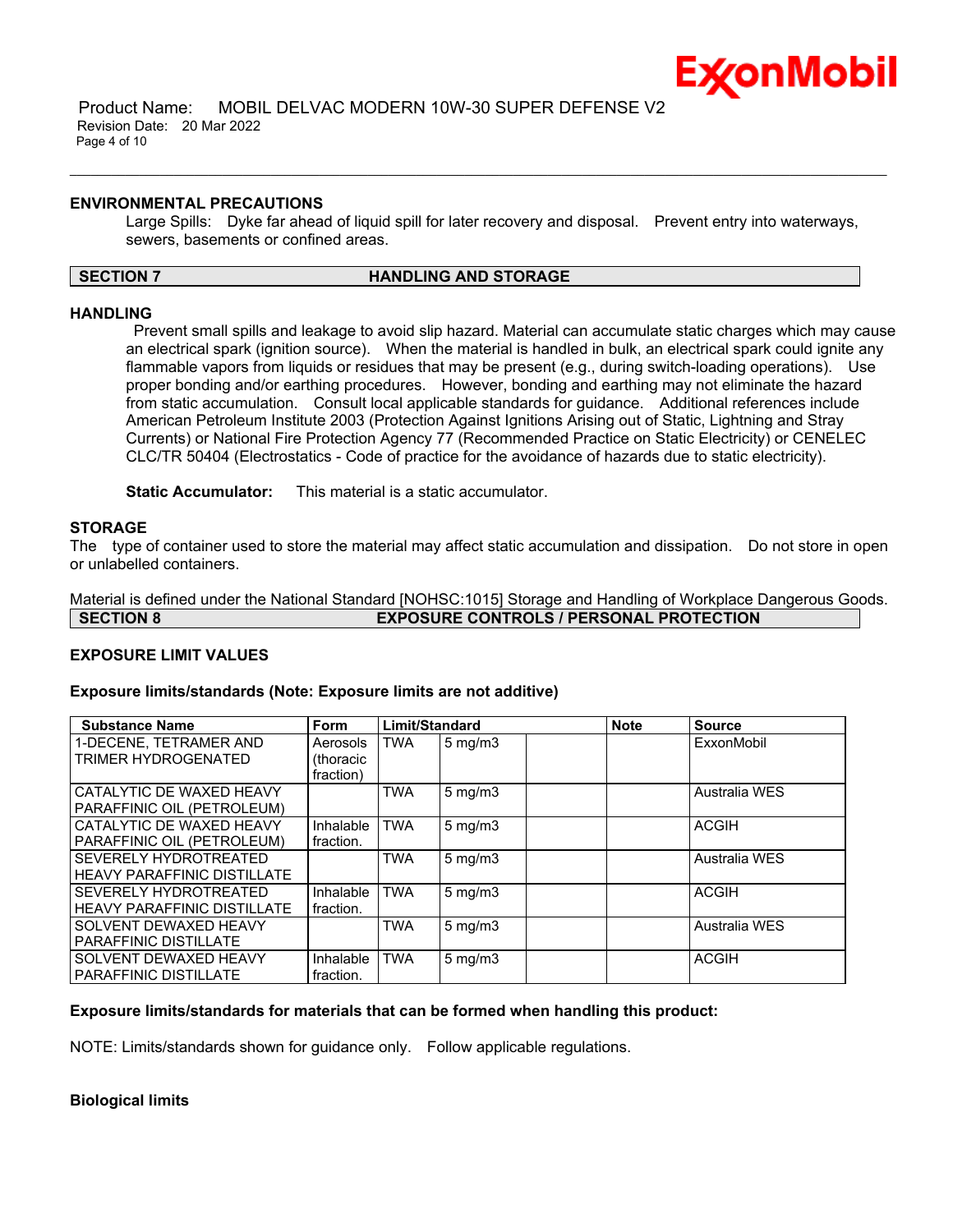

### **ENVIRONMENTAL PRECAUTIONS**

Large Spills: Dyke far ahead of liquid spill for later recovery and disposal. Prevent entry into waterways, sewers, basements or confined areas.

# **SECTION 7 HANDLING AND STORAGE**

\_\_\_\_\_\_\_\_\_\_\_\_\_\_\_\_\_\_\_\_\_\_\_\_\_\_\_\_\_\_\_\_\_\_\_\_\_\_\_\_\_\_\_\_\_\_\_\_\_\_\_\_\_\_\_\_\_\_\_\_\_\_\_\_\_\_\_\_\_\_\_\_\_\_\_\_\_\_\_\_\_\_\_\_\_\_\_\_\_\_\_\_\_\_\_\_\_\_\_\_\_\_\_\_\_\_\_\_\_\_\_\_\_\_\_\_\_\_

### **HANDLING**

Prevent small spills and leakage to avoid slip hazard. Material can accumulate static charges which may cause an electrical spark (ignition source). When the material is handled in bulk, an electrical spark could ignite any flammable vapors from liquids or residues that may be present (e.g., during switch-loading operations). Use proper bonding and/or earthing procedures. However, bonding and earthing may not eliminate the hazard from static accumulation. Consult local applicable standards for guidance. Additional references include American Petroleum Institute 2003 (Protection Against Ignitions Arising out of Static, Lightning and Stray Currents) or National Fire Protection Agency 77 (Recommended Practice on Static Electricity) or CENELEC CLC/TR 50404 (Electrostatics - Code of practice for the avoidance of hazards due to static electricity).

**Static Accumulator:** This material is a static accumulator.

### **STORAGE**

The type of container used to store the material may affect static accumulation and dissipation. Do not store in open or unlabelled containers.

Material is defined under the National Standard [NOHSC:1015] Storage and Handling of Workplace Dangerous Goods. **SECTION 8 EXPOSURE CONTROLS / PERSONAL PROTECTION**

# **EXPOSURE LIMIT VALUES**

#### **Exposure limits/standards (Note: Exposure limits are not additive)**

| <b>Substance Name</b>                                       | Form                               | Limit/Standard |                    | <b>Note</b> | <b>Source</b> |
|-------------------------------------------------------------|------------------------------------|----------------|--------------------|-------------|---------------|
| 1-DECENE. TETRAMER AND<br>TRIMER HYDROGENATED               | Aerosols<br>(thoracic<br>fraction) | <b>TWA</b>     | $5 \text{ mg/m}$   |             | ExxonMobil    |
| CATALYTIC DE WAXED HEAVY<br>PARAFFINIC OIL (PETROLEUM)      |                                    | <b>TWA</b>     | $5$ mg/m $3$       |             | Australia WES |
| CATALYTIC DE WAXED HEAVY<br>PARAFFINIC OIL (PETROLEUM)      | Inhalable<br>fraction.             | <b>TWA</b>     | $5 \text{ mg/m}$   |             | <b>ACGIH</b>  |
| SEVERELY HYDROTREATED<br><b>HEAVY PARAFFINIC DISTILLATE</b> |                                    | <b>TWA</b>     | $5 \text{ mg/m}$   |             | Australia WES |
| SEVERELY HYDROTREATED<br><b>HEAVY PARAFFINIC DISTILLATE</b> | Inhalable<br>fraction.             | <b>TWA</b>     | $5 \text{ mg/m}$ 3 |             | <b>ACGIH</b>  |
| SOLVENT DEWAXED HEAVY<br>PARAFFINIC DISTILLATE              |                                    | <b>TWA</b>     | $5 \text{ mg/m}$ 3 |             | Australia WES |
| SOLVENT DEWAXED HEAVY<br><b>PARAFFINIC DISTILLATE</b>       | Inhalable<br>fraction.             | <b>TWA</b>     | $5 \text{ mg/m}$   |             | <b>ACGIH</b>  |

# **Exposure limits/standards for materials that can be formed when handling this product:**

NOTE: Limits/standards shown for guidance only. Follow applicable regulations.

# **Biological limits**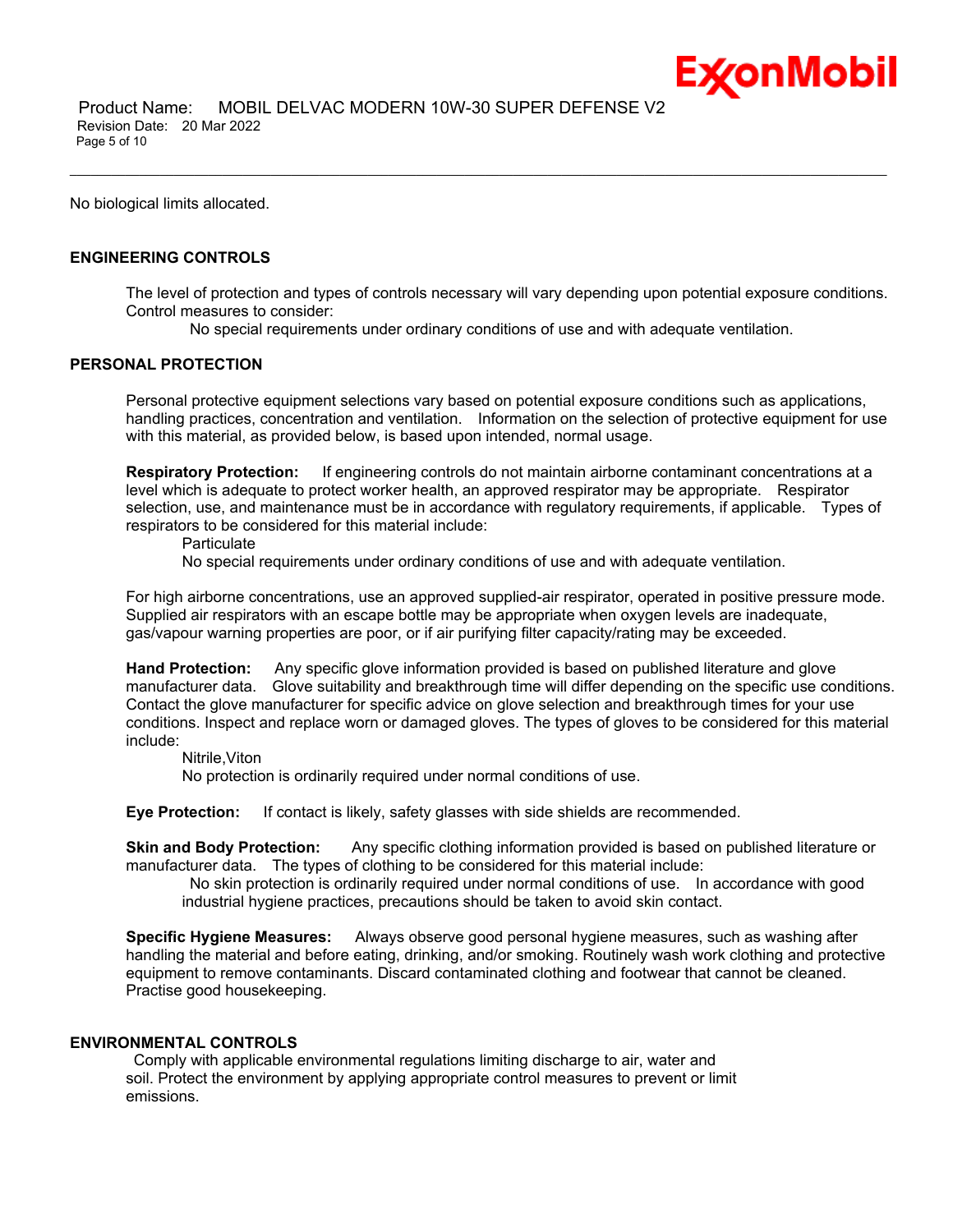

 Product Name: MOBIL DELVAC MODERN 10W-30 SUPER DEFENSE V2 Revision Date: 20 Mar 2022 Page 5 of 10

No biological limits allocated.

# **ENGINEERING CONTROLS**

The level of protection and types of controls necessary will vary depending upon potential exposure conditions. Control measures to consider:

No special requirements under ordinary conditions of use and with adequate ventilation.

\_\_\_\_\_\_\_\_\_\_\_\_\_\_\_\_\_\_\_\_\_\_\_\_\_\_\_\_\_\_\_\_\_\_\_\_\_\_\_\_\_\_\_\_\_\_\_\_\_\_\_\_\_\_\_\_\_\_\_\_\_\_\_\_\_\_\_\_\_\_\_\_\_\_\_\_\_\_\_\_\_\_\_\_\_\_\_\_\_\_\_\_\_\_\_\_\_\_\_\_\_\_\_\_\_\_\_\_\_\_\_\_\_\_\_\_\_\_

# **PERSONAL PROTECTION**

Personal protective equipment selections vary based on potential exposure conditions such as applications, handling practices, concentration and ventilation. Information on the selection of protective equipment for use with this material, as provided below, is based upon intended, normal usage.

**Respiratory Protection:** If engineering controls do not maintain airborne contaminant concentrations at a level which is adequate to protect worker health, an approved respirator may be appropriate. Respirator selection, use, and maintenance must be in accordance with regulatory requirements, if applicable. Types of respirators to be considered for this material include:

**Particulate** 

No special requirements under ordinary conditions of use and with adequate ventilation.

For high airborne concentrations, use an approved supplied-air respirator, operated in positive pressure mode. Supplied air respirators with an escape bottle may be appropriate when oxygen levels are inadequate, gas/vapour warning properties are poor, or if air purifying filter capacity/rating may be exceeded.

**Hand Protection:** Any specific glove information provided is based on published literature and glove manufacturer data. Glove suitability and breakthrough time will differ depending on the specific use conditions. Contact the glove manufacturer for specific advice on glove selection and breakthrough times for your use conditions. Inspect and replace worn or damaged gloves. The types of gloves to be considered for this material include:

Nitrile,Viton

No protection is ordinarily required under normal conditions of use.

**Eye Protection:** If contact is likely, safety glasses with side shields are recommended.

**Skin and Body Protection:** Any specific clothing information provided is based on published literature or manufacturer data. The types of clothing to be considered for this material include:

No skin protection is ordinarily required under normal conditions of use. In accordance with good industrial hygiene practices, precautions should be taken to avoid skin contact.

**Specific Hygiene Measures:** Always observe good personal hygiene measures, such as washing after handling the material and before eating, drinking, and/or smoking. Routinely wash work clothing and protective equipment to remove contaminants. Discard contaminated clothing and footwear that cannot be cleaned. Practise good housekeeping.

#### **ENVIRONMENTAL CONTROLS**

Comply with applicable environmental regulations limiting discharge to air, water and soil. Protect the environment by applying appropriate control measures to prevent or limit emissions.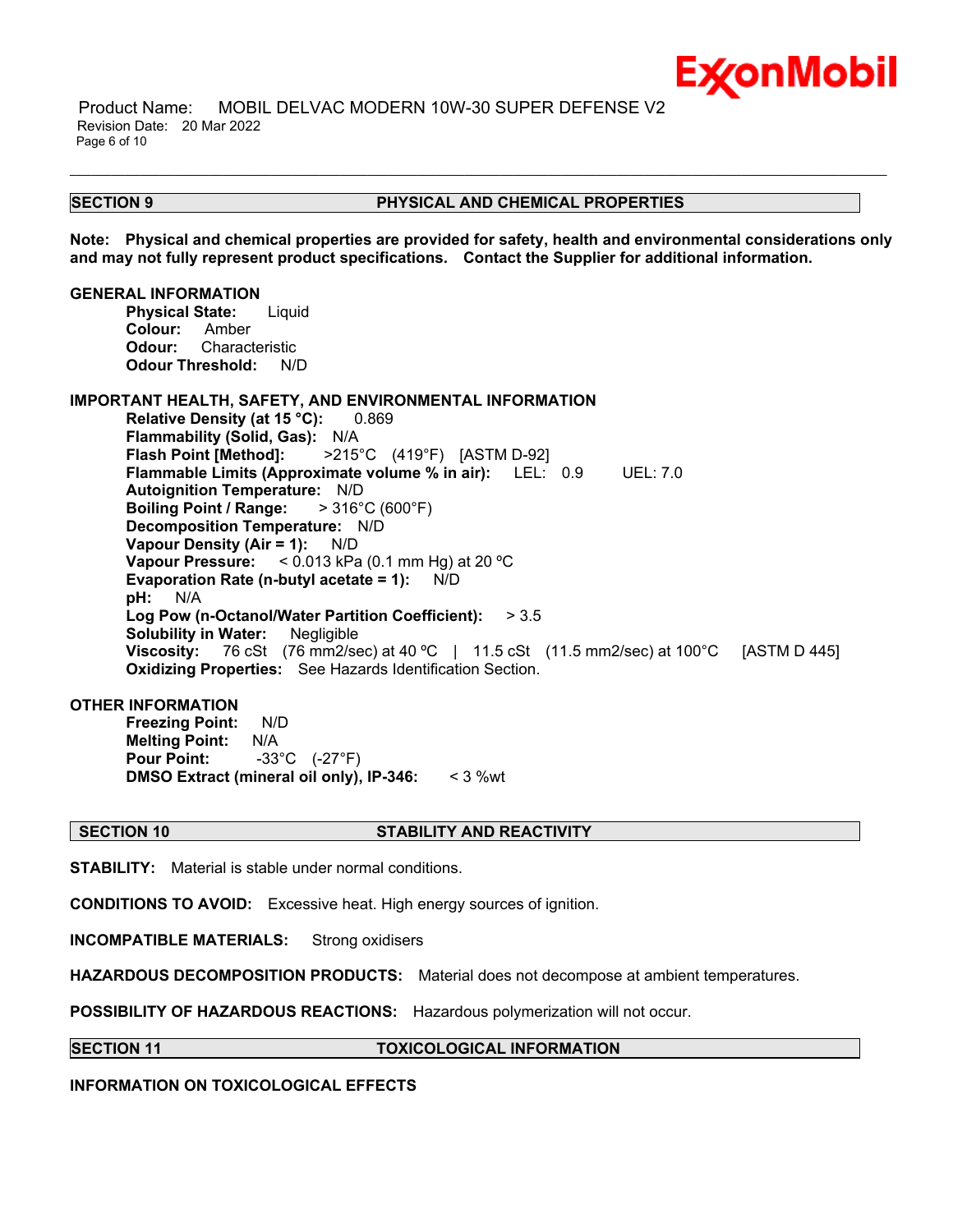

 Product Name: MOBIL DELVAC MODERN 10W-30 SUPER DEFENSE V2 Revision Date: 20 Mar 2022 Page 6 of 10

#### **SECTION 9 PHYSICAL AND CHEMICAL PROPERTIES**

**Note: Physical and chemical properties are provided for safety, health and environmental considerations only and may not fully represent product specifications. Contact the Supplier for additional information.**

\_\_\_\_\_\_\_\_\_\_\_\_\_\_\_\_\_\_\_\_\_\_\_\_\_\_\_\_\_\_\_\_\_\_\_\_\_\_\_\_\_\_\_\_\_\_\_\_\_\_\_\_\_\_\_\_\_\_\_\_\_\_\_\_\_\_\_\_\_\_\_\_\_\_\_\_\_\_\_\_\_\_\_\_\_\_\_\_\_\_\_\_\_\_\_\_\_\_\_\_\_\_\_\_\_\_\_\_\_\_\_\_\_\_\_\_\_\_

#### **GENERAL INFORMATION**

**Physical State:** Liquid **Colour:** Amber **Odour:** Characteristic **Odour Threshold:** N/D

### **IMPORTANT HEALTH, SAFETY, AND ENVIRONMENTAL INFORMATION**

**Relative Density (at 15 °C):** 0.869 **Flammability (Solid, Gas):** N/A **Flash Point [Method]:** >215°C (419°F) [ASTM D-92] **Flammable Limits (Approximate volume % in air):** LEL: 0.9 UEL: 7.0 **Autoignition Temperature:** N/D **Boiling Point / Range:** > 316°C (600°F) **Decomposition Temperature:** N/D **Vapour Density (Air = 1):** N/D **Vapour Pressure:** < 0.013 kPa (0.1 mm Hg) at 20 ºC **Evaporation Rate (n-butyl acetate = 1):** N/D **pH:** N/A **Log Pow (n-Octanol/Water Partition Coefficient):** > 3.5 **Solubility in Water:** Negligible **Viscosity:** 76 cSt (76 mm2/sec) at 40 °C | 11.5 cSt (11.5 mm2/sec) at 100 °C [ASTM D 445] **Oxidizing Properties:** See Hazards Identification Section.

# **OTHER INFORMATION**

**Freezing Point:** N/D **Melting Point:** N/A **Pour Point:** -33°C (-27°F) **DMSO Extract (mineral oil only), IP-346:** < 3 %wt

### **SECTION 10 STABILITY AND REACTIVITY**

**STABILITY:** Material is stable under normal conditions.

**CONDITIONS TO AVOID:** Excessive heat. High energy sources of ignition.

**INCOMPATIBLE MATERIALS:** Strong oxidisers

**HAZARDOUS DECOMPOSITION PRODUCTS:** Material does not decompose at ambient temperatures.

**POSSIBILITY OF HAZARDOUS REACTIONS:** Hazardous polymerization will not occur.

**SECTION 11 TOXICOLOGICAL INFORMATION**

**INFORMATION ON TOXICOLOGICAL EFFECTS**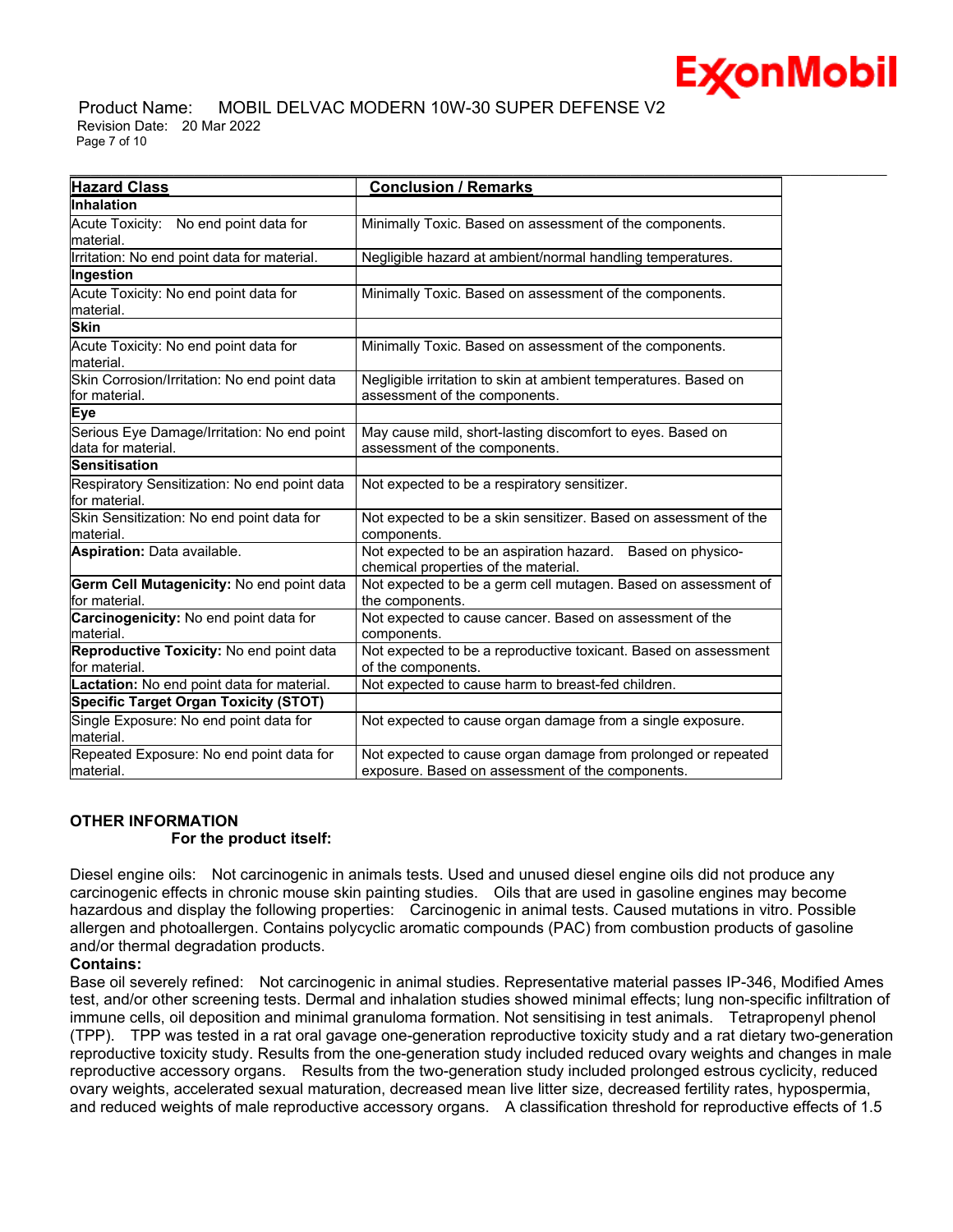

 Product Name: MOBIL DELVAC MODERN 10W-30 SUPER DEFENSE V2 Revision Date: 20 Mar 2022 Page 7 of 10

| <b>Hazard Class</b>                                               | <b>Conclusion / Remarks</b>                                                                                       |
|-------------------------------------------------------------------|-------------------------------------------------------------------------------------------------------------------|
| <b>Inhalation</b>                                                 |                                                                                                                   |
| <b>Acute Toxicity:</b><br>No end point data for<br>material.      | Minimally Toxic. Based on assessment of the components.                                                           |
| Irritation: No end point data for material.                       | Negligible hazard at ambient/normal handling temperatures.                                                        |
| Ingestion                                                         |                                                                                                                   |
| Acute Toxicity: No end point data for<br>material.                | Minimally Toxic. Based on assessment of the components.                                                           |
| <b>Skin</b>                                                       |                                                                                                                   |
| Acute Toxicity: No end point data for<br>lmaterial.               | Minimally Toxic. Based on assessment of the components.                                                           |
| Skin Corrosion/Irritation: No end point data<br>for material.     | Negligible irritation to skin at ambient temperatures. Based on<br>assessment of the components.                  |
| Eye                                                               |                                                                                                                   |
| Serious Eye Damage/Irritation: No end point<br>data for material. | May cause mild, short-lasting discomfort to eyes. Based on<br>assessment of the components.                       |
| Sensitisation                                                     |                                                                                                                   |
| Respiratory Sensitization: No end point data<br>for material.     | Not expected to be a respiratory sensitizer.                                                                      |
| Skin Sensitization: No end point data for<br>material.            | Not expected to be a skin sensitizer. Based on assessment of the<br>components.                                   |
| Aspiration: Data available.                                       | Not expected to be an aspiration hazard. Based on physico-<br>chemical properties of the material.                |
| Germ Cell Mutagenicity: No end point data<br>lfor material.       | Not expected to be a germ cell mutagen. Based on assessment of<br>the components.                                 |
| Carcinogenicity: No end point data for<br>material.               | Not expected to cause cancer. Based on assessment of the<br>components.                                           |
| Reproductive Toxicity: No end point data<br>for material.         | Not expected to be a reproductive toxicant. Based on assessment<br>of the components.                             |
| Lactation: No end point data for material.                        | Not expected to cause harm to breast-fed children.                                                                |
| <b>Specific Target Organ Toxicity (STOT)</b>                      |                                                                                                                   |
| Single Exposure: No end point data for<br>lmaterial.              | Not expected to cause organ damage from a single exposure.                                                        |
| Repeated Exposure: No end point data for<br>material.             | Not expected to cause organ damage from prolonged or repeated<br>exposure. Based on assessment of the components. |

# **OTHER INFORMATION For the product itself:**

Diesel engine oils: Not carcinogenic in animals tests. Used and unused diesel engine oils did not produce any carcinogenic effects in chronic mouse skin painting studies. Oils that are used in gasoline engines may become hazardous and display the following properties: Carcinogenic in animal tests. Caused mutations in vitro. Possible allergen and photoallergen. Contains polycyclic aromatic compounds (PAC) from combustion products of gasoline and/or thermal degradation products.

# **Contains:**

Base oil severely refined: Not carcinogenic in animal studies. Representative material passes IP-346, Modified Ames test, and/or other screening tests. Dermal and inhalation studies showed minimal effects; lung non-specific infiltration of immune cells, oil deposition and minimal granuloma formation. Not sensitising in test animals. Tetrapropenyl phenol (TPP). TPP was tested in a rat oral gavage one-generation reproductive toxicity study and a rat dietary two-generation reproductive toxicity study. Results from the one-generation study included reduced ovary weights and changes in male reproductive accessory organs. Results from the two-generation study included prolonged estrous cyclicity, reduced ovary weights, accelerated sexual maturation, decreased mean live litter size, decreased fertility rates, hypospermia, and reduced weights of male reproductive accessory organs. A classification threshold for reproductive effects of 1.5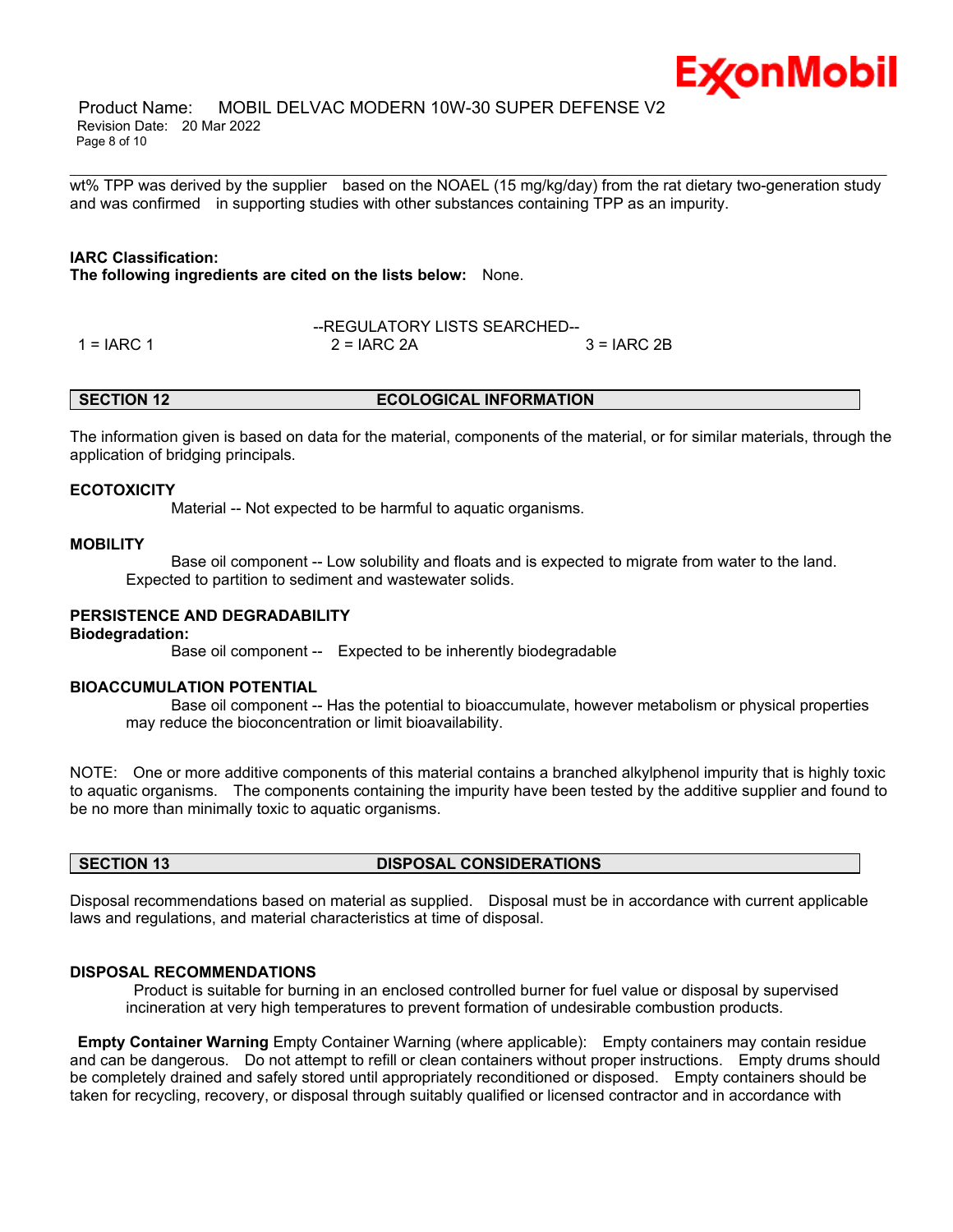

\_\_\_\_\_\_\_\_\_\_\_\_\_\_\_\_\_\_\_\_\_\_\_\_\_\_\_\_\_\_\_\_\_\_\_\_\_\_\_\_\_\_\_\_\_\_\_\_\_\_\_\_\_\_\_\_\_\_\_\_\_\_\_\_\_\_\_\_\_\_\_\_\_\_\_\_\_\_\_\_\_\_\_\_\_\_\_\_\_\_\_\_\_\_\_\_\_\_\_\_\_\_\_\_\_\_\_\_\_\_\_\_\_\_\_\_\_\_ wt% TPP was derived by the supplier based on the NOAEL (15 mg/kg/day) from the rat dietary two-generation study and was confirmed in supporting studies with other substances containing TPP as an impurity.

# **IARC Classification:**

**The following ingredients are cited on the lists below:** None.

--REGULATORY LISTS SEARCHED--  $1 = IARC 1$   $2 = IARC 2A$   $3 = IARC 2B$ 

### **SECTION 12 ECOLOGICAL INFORMATION**

The information given is based on data for the material, components of the material, or for similar materials, through the application of bridging principals.

#### **ECOTOXICITY**

Material -- Not expected to be harmful to aquatic organisms.

#### **MOBILITY**

 Base oil component -- Low solubility and floats and is expected to migrate from water to the land. Expected to partition to sediment and wastewater solids.

### **PERSISTENCE AND DEGRADABILITY**

#### **Biodegradation:**

Base oil component -- Expected to be inherently biodegradable

### **BIOACCUMULATION POTENTIAL**

 Base oil component -- Has the potential to bioaccumulate, however metabolism or physical properties may reduce the bioconcentration or limit bioavailability.

NOTE: One or more additive components of this material contains a branched alkylphenol impurity that is highly toxic to aquatic organisms. The components containing the impurity have been tested by the additive supplier and found to be no more than minimally toxic to aquatic organisms.

# **SECTION 13 DISPOSAL CONSIDERATIONS**

Disposal recommendations based on material as supplied. Disposal must be in accordance with current applicable laws and regulations, and material characteristics at time of disposal.

#### **DISPOSAL RECOMMENDATIONS**

Product is suitable for burning in an enclosed controlled burner for fuel value or disposal by supervised incineration at very high temperatures to prevent formation of undesirable combustion products.

**Empty Container Warning** Empty Container Warning (where applicable): Empty containers may contain residue and can be dangerous. Do not attempt to refill or clean containers without proper instructions. Empty drums should be completely drained and safely stored until appropriately reconditioned or disposed. Empty containers should be taken for recycling, recovery, or disposal through suitably qualified or licensed contractor and in accordance with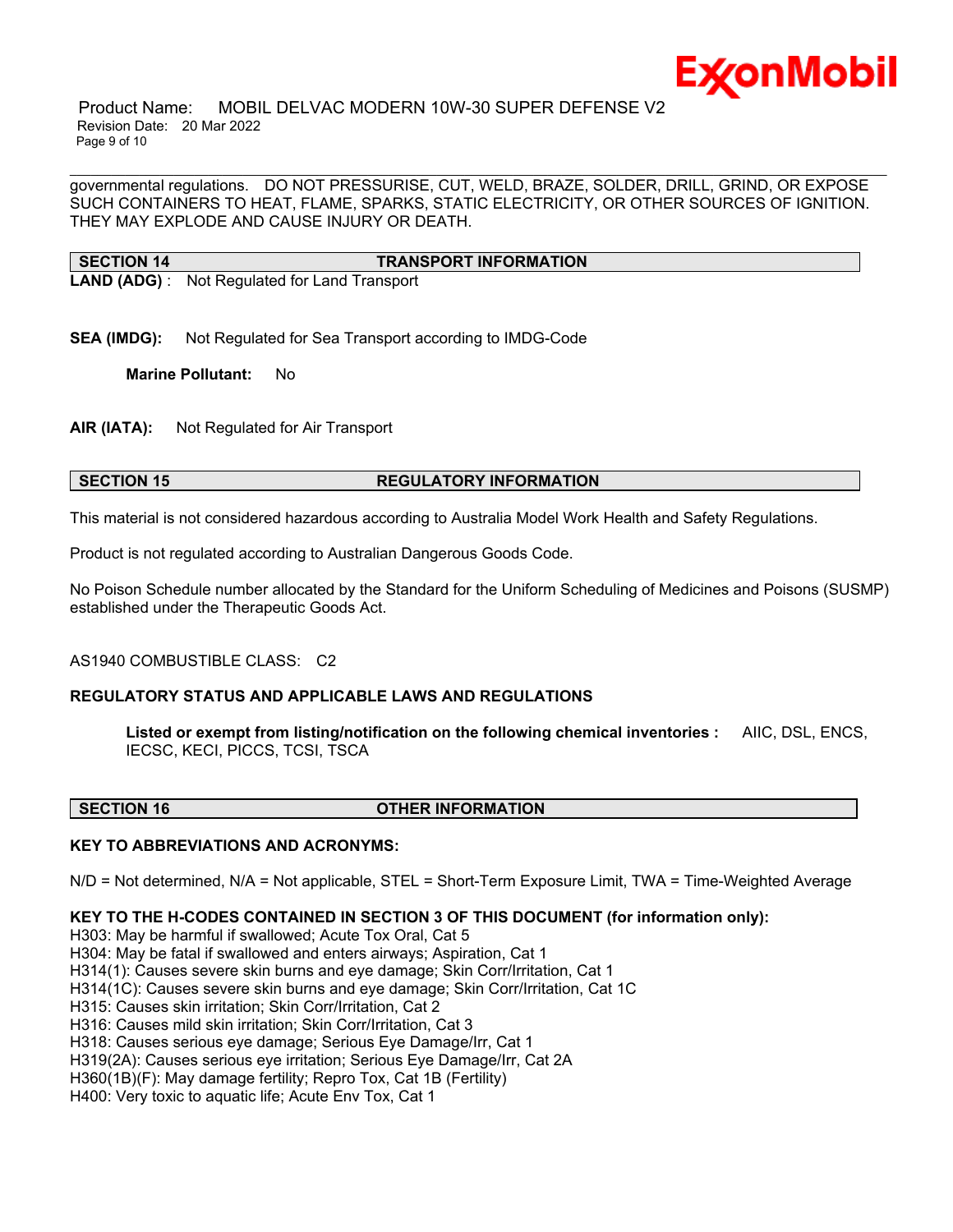

 Product Name: MOBIL DELVAC MODERN 10W-30 SUPER DEFENSE V2 Revision Date: 20 Mar 2022 Page 9 of 10

governmental regulations. DO NOT PRESSURISE, CUT, WELD, BRAZE, SOLDER, DRILL, GRIND, OR EXPOSE SUCH CONTAINERS TO HEAT, FLAME, SPARKS, STATIC ELECTRICITY, OR OTHER SOURCES OF IGNITION. THEY MAY EXPLODE AND CAUSE INJURY OR DEATH.

\_\_\_\_\_\_\_\_\_\_\_\_\_\_\_\_\_\_\_\_\_\_\_\_\_\_\_\_\_\_\_\_\_\_\_\_\_\_\_\_\_\_\_\_\_\_\_\_\_\_\_\_\_\_\_\_\_\_\_\_\_\_\_\_\_\_\_\_\_\_\_\_\_\_\_\_\_\_\_\_\_\_\_\_\_\_\_\_\_\_\_\_\_\_\_\_\_\_\_\_\_\_\_\_\_\_\_\_\_\_\_\_\_\_\_\_\_\_

#### **SECTION 14 TRANSPORT INFORMATION**

**LAND (ADG)** : Not Regulated for Land Transport

**SEA (IMDG):** Not Regulated for Sea Transport according to IMDG-Code

**Marine Pollutant:** No

**AIR (IATA):** Not Regulated for Air Transport

### **SECTION 15 REGULATORY INFORMATION**

This material is not considered hazardous according to Australia Model Work Health and Safety Regulations.

Product is not regulated according to Australian Dangerous Goods Code.

No Poison Schedule number allocated by the Standard for the Uniform Scheduling of Medicines and Poisons (SUSMP) established under the Therapeutic Goods Act.

AS1940 COMBUSTIBLE CLASS: C2

# **REGULATORY STATUS AND APPLICABLE LAWS AND REGULATIONS**

**Listed or exempt from listing/notification on the following chemical inventories :** AIIC, DSL, ENCS, IECSC, KECI, PICCS, TCSI, TSCA

#### **SECTION 16 OTHER INFORMATION**

# **KEY TO ABBREVIATIONS AND ACRONYMS:**

N/D = Not determined, N/A = Not applicable, STEL = Short-Term Exposure Limit, TWA = Time-Weighted Average

# **KEY TO THE H-CODES CONTAINED IN SECTION 3 OF THIS DOCUMENT (for information only):**

H303: May be harmful if swallowed; Acute Tox Oral, Cat 5 H304: May be fatal if swallowed and enters airways; Aspiration, Cat 1 H314(1): Causes severe skin burns and eye damage; Skin Corr/Irritation, Cat 1 H314(1C): Causes severe skin burns and eye damage; Skin Corr/Irritation, Cat 1C H315: Causes skin irritation; Skin Corr/Irritation, Cat 2 H316: Causes mild skin irritation; Skin Corr/Irritation, Cat 3 H318: Causes serious eye damage; Serious Eye Damage/Irr, Cat 1 H319(2A): Causes serious eye irritation; Serious Eye Damage/Irr, Cat 2A H360(1B)(F): May damage fertility; Repro Tox, Cat 1B (Fertility) H400: Very toxic to aquatic life; Acute Env Tox, Cat 1